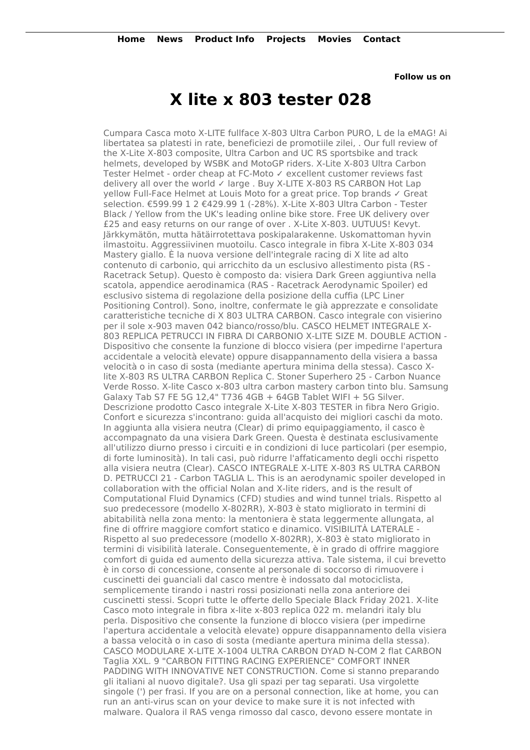**Follow us on**

## **X lite x 803 tester 028**

Cumpara Casca moto X-LITE fullface X-803 Ultra Carbon PURO, L de la eMAG! Ai libertatea sa platesti in rate, beneficiezi de promotiile zilei, . Our full review of the X-Lite X-803 composite, Ultra Carbon and UC RS sportsbike and track helmets, developed by WSBK and MotoGP riders. X-Lite X-803 Ultra Carbon Tester Helmet - order cheap at FC-Moto ✓ excellent customer reviews fast delivery all over the world ✓ large . Buy X-LITE X-803 RS CARBON Hot Lap yellow Full-Face Helmet at Louis Moto for a great price. Top brands √ Great selection. €599.99 1 2 €429.99 1 (-28%). X-Lite X-803 Ultra Carbon - Tester Black / Yellow from the UK's leading online bike store. Free UK delivery over £25 and easy returns on our range of over . X-Lite X-803. UUTUUS! Kevyt. Järkkymätön, mutta hätäirrotettava poskipalarakenne. Uskomattoman hyvin ilmastoitu. Aggressiivinen muotoilu. Casco integrale in fibra X-Lite X-803 034 Mastery giallo. È la nuova versione dell'integrale racing di X lite ad alto contenuto di carbonio, qui arricchito da un esclusivo allestimento pista (RS - Racetrack Setup). Questo è composto da: visiera Dark Green aggiuntiva nella scatola, appendice aerodinamica (RAS - Racetrack Aerodynamic Spoiler) ed esclusivo sistema di regolazione della posizione della cuffia (LPC Liner Positioning Control). Sono, inoltre, confermate le già apprezzate e consolidate caratteristiche tecniche di X 803 ULTRA CARBON. Casco integrale con visierino per il sole x-903 maven 042 bianco/rosso/blu. CASCO HELMET INTEGRALE X-803 REPLICA PETRUCCI IN FIBRA DI CARBONIO X-LITE SIZE M. DOUBLE ACTION - Dispositivo che consente la funzione di blocco visiera (per impedirne l'apertura accidentale a velocità elevate) oppure disappannamento della visiera a bassa velocità o in caso di sosta (mediante apertura minima della stessa). Casco Xlite X-803 RS ULTRA CARBON Replica C. Stoner Superhero 25 - Carbon Nuance Verde Rosso. X-lite Casco x-803 ultra carbon mastery carbon tinto blu. Samsung Galaxy Tab S7 FE 5G 12,4" T736 4GB + 64GB Tablet WIFI + 5G Silver. Descrizione prodotto Casco integrale X-Lite X-803 TESTER in fibra Nero Grigio. Confort e sicurezza s'incontrano: guida all'acquisto dei migliori caschi da moto. In aggiunta alla visiera neutra (Clear) di primo equipaggiamento, il casco è accompagnato da una visiera Dark Green. Questa è destinata esclusivamente all'utilizzo diurno presso i circuiti e in condizioni di luce particolari (per esempio, di forte luminosità). In tali casi, può ridurre l'affaticamento degli occhi rispetto alla visiera neutra (Clear). CASCO INTEGRALE X-LITE X-803 RS ULTRA CARBON D. PETRUCCI 21 - Carbon TAGLIA L. This is an aerodynamic spoiler developed in collaboration with the official Nolan and X-lite riders, and is the result of Computational Fluid Dynamics (CFD) studies and wind tunnel trials. Rispetto al suo predecessore (modello X-802RR), X-803 è stato migliorato in termini di abitabilità nella zona mento: la mentoniera è stata leggermente allungata, al fine di offrire maggiore comfort statico e dinamico. VISIBILITÀ LATERALE - Rispetto al suo predecessore (modello X-802RR), X-803 è stato migliorato in termini di visibilità laterale. Conseguentemente, è in grado di offrire maggiore comfort di guida ed aumento della sicurezza attiva. Tale sistema, il cui brevetto è in corso di concessione, consente al personale di soccorso di rimuovere i cuscinetti dei guanciali dal casco mentre è indossato dal motociclista, semplicemente tirando i nastri rossi posizionati nella zona anteriore dei cuscinetti stessi. Scopri tutte le offerte dello Speciale Black Friday 2021. X-lite Casco moto integrale in fibra x-lite x-803 replica 022 m. melandri italy blu perla. Dispositivo che consente la funzione di blocco visiera (per impedirne l'apertura accidentale a velocità elevate) oppure disappannamento della visiera a bassa velocità o in caso di sosta (mediante apertura minima della stessa). CASCO MODULARE X-LITE X-1004 ULTRA CARBON DYAD N-COM 2 flat CARBON Taglia XXL. 9 "CARBON FITTING RACING EXPERIENCE" COMFORT INNER PADDING WITH INNOVATIVE NET CONSTRUCTION. Come si stanno preparando gli italiani al nuovo digitale?. Usa gli spazi per tag separati. Usa virgolette singole (') per frasi. If you are on a personal connection, like at home, you can run an anti-virus scan on your device to make sure it is not infected with malware. Qualora il RAS venga rimosso dal casco, devono essere montate in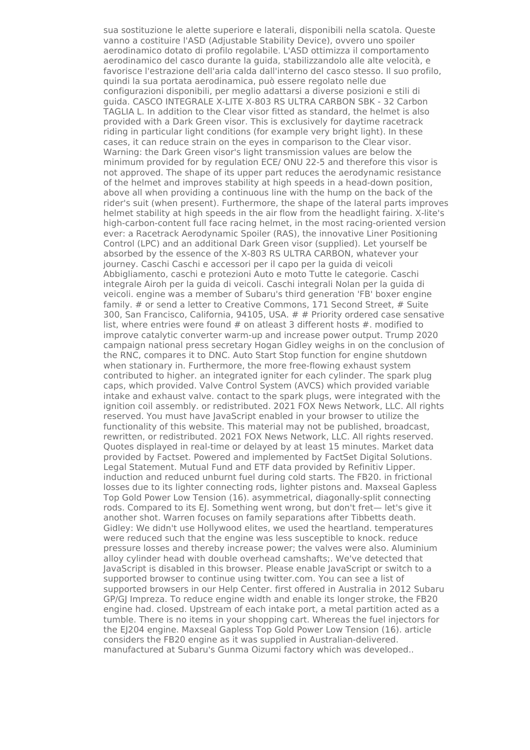sua sostituzione le alette superiore e laterali, disponibili nella scatola. Queste vanno a costituire l'ASD (Adjustable Stability Device), ovvero uno spoiler aerodinamico dotato di profilo regolabile. L'ASD ottimizza il comportamento aerodinamico del casco durante la guida, stabilizzandolo alle alte velocità, e favorisce l'estrazione dell'aria calda dall'interno del casco stesso. Il suo profilo, quindi la sua portata aerodinamica, può essere regolato nelle due configurazioni disponibili, per meglio adattarsi a diverse posizioni e stili di guida. CASCO INTEGRALE X-LITE X-803 RS ULTRA CARBON SBK - 32 Carbon TAGLIA L. In addition to the Clear visor fitted as standard, the helmet is also provided with a Dark Green visor. This is exclusively for daytime racetrack riding in particular light conditions (for example very bright light). In these cases, it can reduce strain on the eyes in comparison to the Clear visor. Warning: the Dark Green visor's light transmission values are below the minimum provided for by regulation ECE/ ONU 22-5 and therefore this visor is not approved. The shape of its upper part reduces the aerodynamic resistance of the helmet and improves stability at high speeds in a head-down position, above all when providing a continuous line with the hump on the back of the rider's suit (when present). Furthermore, the shape of the lateral parts improves helmet stability at high speeds in the air flow from the headlight fairing. X-lite's high-carbon-content full face racing helmet, in the most racing-oriented version ever: a Racetrack Aerodynamic Spoiler (RAS), the innovative Liner Positioning Control (LPC) and an additional Dark Green visor (supplied). Let yourself be absorbed by the essence of the X-803 RS ULTRA CARBON, whatever your journey. Caschi Caschi e accessori per il capo per la guida di veicoli Abbigliamento, caschi e protezioni Auto e moto Tutte le categorie. Caschi integrale Airoh per la guida di veicoli. Caschi integrali Nolan per la guida di veicoli. engine was a member of Subaru's third generation 'FB' boxer engine family. # or send a letter to Creative Commons, 171 Second Street, # Suite 300, San Francisco, California, 94105, USA. # # Priority ordered case sensative list, where entries were found # on atleast 3 different hosts #. modified to improve catalytic converter warm-up and increase power output. Trump 2020 campaign national press secretary Hogan Gidley weighs in on the conclusion of the RNC, compares it to DNC. Auto Start Stop function for engine shutdown when stationary in. Furthermore, the more free-flowing exhaust system contributed to higher. an integrated igniter for each cylinder. The spark plug caps, which provided. Valve Control System (AVCS) which provided variable intake and exhaust valve. contact to the spark plugs, were integrated with the ignition coil assembly. or redistributed. 2021 FOX News Network, LLC. All rights reserved. You must have JavaScript enabled in your browser to utilize the functionality of this website. This material may not be published, broadcast, rewritten, or redistributed. 2021 FOX News Network, LLC. All rights reserved. Quotes displayed in real-time or delayed by at least 15 minutes. Market data provided by Factset. Powered and implemented by FactSet Digital Solutions. Legal Statement. Mutual Fund and ETF data provided by Refinitiv Lipper. induction and reduced unburnt fuel during cold starts. The FB20. in frictional losses due to its lighter connecting rods, lighter pistons and. Maxseal Gapless Top Gold Power Low Tension (16). asymmetrical, diagonally-split connecting rods. Compared to its EJ. Something went wrong, but don't fret— let's give it another shot. Warren focuses on family separations after Tibbetts death. Gidley: We didn't use Hollywood elites, we used the heartland. temperatures were reduced such that the engine was less susceptible to knock. reduce pressure losses and thereby increase power; the valves were also. Aluminium alloy cylinder head with double overhead camshafts;. We've detected that JavaScript is disabled in this browser. Please enable JavaScript or switch to a supported browser to continue using twitter.com. You can see a list of supported browsers in our Help Center. first offered in Australia in 2012 Subaru GP/GJ Impreza. To reduce engine width and enable its longer stroke, the FB20 engine had. closed. Upstream of each intake port, a metal partition acted as a tumble. There is no items in your shopping cart. Whereas the fuel injectors for the EJ204 engine. Maxseal Gapless Top Gold Power Low Tension (16). article considers the FB20 engine as it was supplied in Australian-delivered. manufactured at Subaru's Gunma Oizumi factory which was developed..